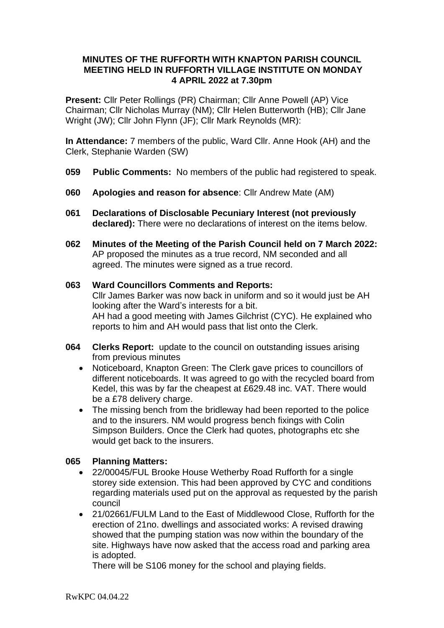# **MINUTES OF THE RUFFORTH WITH KNAPTON PARISH COUNCIL MEETING HELD IN RUFFORTH VILLAGE INSTITUTE ON MONDAY 4 APRIL 2022 at 7.30pm**

**Present:** Cllr Peter Rollings (PR) Chairman; Cllr Anne Powell (AP) Vice Chairman; Cllr Nicholas Murray (NM); Cllr Helen Butterworth (HB); Cllr Jane Wright (JW); Cllr John Flynn (JF); Cllr Mark Reynolds (MR):

**In Attendance:** 7 members of the public, Ward Cllr. Anne Hook (AH) and the Clerk, Stephanie Warden (SW)

- **059 Public Comments:** No members of the public had registered to speak.
- **060 Apologies and reason for absence**: Cllr Andrew Mate (AM)
- **061 Declarations of Disclosable Pecuniary Interest (not previously declared):** There were no declarations of interest on the items below.
- **062 Minutes of the Meeting of the Parish Council held on 7 March 2022:**  AP proposed the minutes as a true record, NM seconded and all agreed. The minutes were signed as a true record.

#### **063 Ward Councillors Comments and Reports:**  Cllr James Barker was now back in uniform and so it would just be AH looking after the Ward's interests for a bit. AH had a good meeting with James Gilchrist (CYC). He explained who reports to him and AH would pass that list onto the Clerk.

- **064 Clerks Report:** update to the council on outstanding issues arising from previous minutes
	- Noticeboard, Knapton Green: The Clerk gave prices to councillors of different noticeboards. It was agreed to go with the recycled board from Kedel, this was by far the cheapest at £629.48 inc. VAT. There would be a £78 delivery charge.
	- The missing bench from the bridleway had been reported to the police and to the insurers. NM would progress bench fixings with Colin Simpson Builders. Once the Clerk had quotes, photographs etc she would get back to the insurers.

# **065 Planning Matters:**

- 22/00045/FUL Brooke House Wetherby Road Rufforth for a single storey side extension. This had been approved by CYC and conditions regarding materials used put on the approval as requested by the parish council
- 21/02661/FULM Land to the East of Middlewood Close, Rufforth for the erection of 21no. dwellings and associated works: A revised drawing showed that the pumping station was now within the boundary of the site. Highways have now asked that the access road and parking area is adopted.

There will be S106 money for the school and playing fields.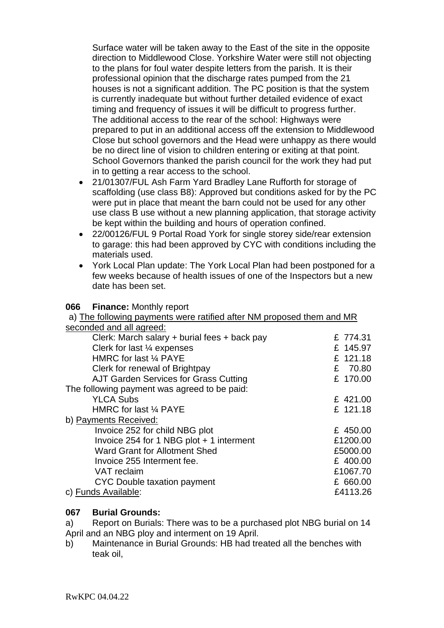Surface water will be taken away to the East of the site in the opposite direction to Middlewood Close. Yorkshire Water were still not objecting to the plans for foul water despite letters from the parish. It is their professional opinion that the discharge rates pumped from the 21 houses is not a significant addition. The PC position is that the system is currently inadequate but without further detailed evidence of exact timing and frequency of issues it will be difficult to progress further. The additional access to the rear of the school: Highways were prepared to put in an additional access off the extension to Middlewood Close but school governors and the Head were unhappy as there would be no direct line of vision to children entering or exiting at that point. School Governors thanked the parish council for the work they had put in to getting a rear access to the school.

- 21/01307/FUL Ash Farm Yard Bradley Lane Rufforth for storage of scaffolding (use class B8): Approved but conditions asked for by the PC were put in place that meant the barn could not be used for any other use class B use without a new planning application, that storage activity be kept within the building and hours of operation confined.
- 22/00126/FUL 9 Portal Road York for single storey side/rear extension to garage: this had been approved by CYC with conditions including the materials used.
- York Local Plan update: The York Local Plan had been postponed for a few weeks because of health issues of one of the Inspectors but a new date has been set.

| a) The following payments were ratified after NM proposed them and MR |          |
|-----------------------------------------------------------------------|----------|
| seconded and all agreed:                                              |          |
| Clerk: March salary + burial fees + back pay                          | £ 774.31 |
| Clerk for last $\frac{1}{4}$ expenses                                 | £ 145.97 |
| HMRC for last 1/4 PAYE                                                | £ 121.18 |
| Clerk for renewal of Brightpay                                        | £ 70.80  |
| AJT Garden Services for Grass Cutting                                 | £ 170.00 |
| The following payment was agreed to be paid:                          |          |
| <b>YLCA Subs</b>                                                      | £ 421.00 |
| HMRC for last 1/4 PAYE                                                | £ 121.18 |
| b) Payments Received:                                                 |          |
| Invoice 252 for child NBG plot                                        | £ 450.00 |
| Invoice 254 for 1 NBG plot + 1 interment                              | £1200.00 |
| <b>Ward Grant for Allotment Shed</b>                                  | £5000.00 |
| Invoice 255 Interment fee.                                            | £ 400.00 |
| <b>VAT</b> reclaim                                                    | £1067.70 |
| CYC Double taxation payment                                           | £ 660.00 |
| c) Funds Available:                                                   | £4113.26 |

# **067 Burial Grounds:**

**066 Finance:** Monthly report

a) Report on Burials: There was to be a purchased plot NBG burial on 14 April and an NBG ploy and interment on 19 April.

b) Maintenance in Burial Grounds: HB had treated all the benches with teak oil,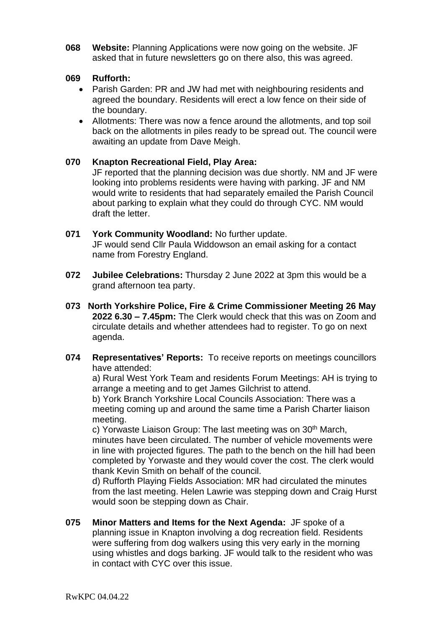**068 Website:** Planning Applications were now going on the website. JF asked that in future newsletters go on there also, this was agreed.

### **069 Rufforth:**

- Parish Garden: PR and JW had met with neighbouring residents and agreed the boundary. Residents will erect a low fence on their side of the boundary.
- Allotments: There was now a fence around the allotments, and top soil back on the allotments in piles ready to be spread out. The council were awaiting an update from Dave Meigh.

### **070 Knapton Recreational Field, Play Area:**

JF reported that the planning decision was due shortly. NM and JF were looking into problems residents were having with parking. JF and NM would write to residents that had separately emailed the Parish Council about parking to explain what they could do through CYC. NM would draft the letter.

- **071 York Community Woodland:** No further update. JF would send Cllr Paula Widdowson an email asking for a contact name from Forestry England.
- **072 Jubilee Celebrations:** Thursday 2 June 2022 at 3pm this would be a grand afternoon tea party.
- **073 North Yorkshire Police, Fire & Crime Commissioner Meeting 26 May 2022 6.30 – 7.45pm:** The Clerk would check that this was on Zoom and circulate details and whether attendees had to register. To go on next agenda.
- **074 Representatives' Reports:** To receive reports on meetings councillors have attended:

a) Rural West York Team and residents Forum Meetings: AH is trying to arrange a meeting and to get James Gilchrist to attend.

b) York Branch Yorkshire Local Councils Association: There was a meeting coming up and around the same time a Parish Charter liaison meeting.

c) Yorwaste Liaison Group: The last meeting was on 30<sup>th</sup> March, minutes have been circulated. The number of vehicle movements were in line with projected figures. The path to the bench on the hill had been completed by Yorwaste and they would cover the cost. The clerk would thank Kevin Smith on behalf of the council.

d) Rufforth Playing Fields Association: MR had circulated the minutes from the last meeting. Helen Lawrie was stepping down and Craig Hurst would soon be stepping down as Chair.

**075 Minor Matters and Items for the Next Agenda:** JF spoke of a planning issue in Knapton involving a dog recreation field. Residents were suffering from dog walkers using this very early in the morning using whistles and dogs barking. JF would talk to the resident who was in contact with CYC over this issue.